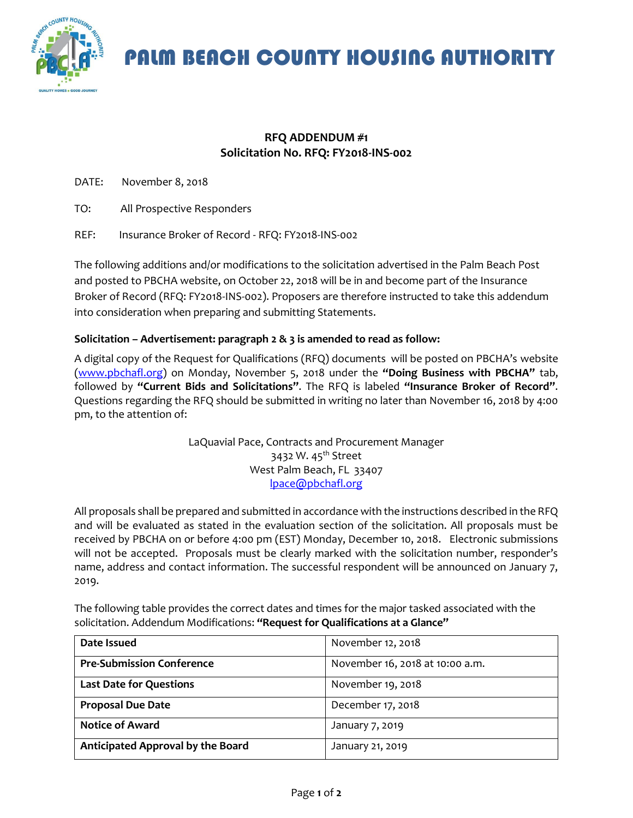

PALM BEACH COUNTY HOUSING AUTHORITY

## **RFQ ADDENDUM #1 Solicitation No. RFQ: FY2018-INS-002**

DATE: November 8, 2018

- TO: All Prospective Responders
- REF: Insurance Broker of Record RFQ: FY2018-INS-002

The following additions and/or modifications to the solicitation advertised in the Palm Beach Post and posted to PBCHA website, on October 22, 2018 will be in and become part of the Insurance Broker of Record (RFQ: FY2018-INS-002). Proposers are therefore instructed to take this addendum into consideration when preparing and submitting Statements.

## **Solicitation – Advertisement: paragraph 2 & 3 is amended to read as follow:**

A digital copy of the Request for Qualifications (RFQ) documents will be posted on PBCHA's website [\(www.pbchafl.org\)](http://www.pbchafl.org/) on Monday, November 5, 2018 under the **"Doing Business with PBCHA"** tab, followed by **"Current Bids and Solicitations"**. The RFQ is labeled **"Insurance Broker of Record"**. Questions regarding the RFQ should be submitted in writing no later than November 16, 2018 by 4:00 pm, to the attention of:

> LaQuavial Pace, Contracts and Procurement Manager 3432 W. 45<sup>th</sup> Street West Palm Beach, FL 33407 [lpace@pbchafl.org](mailto:lpace@pbchafl.org)

All proposals shall be prepared and submitted in accordance with the instructions described in the RFQ and will be evaluated as stated in the evaluation section of the solicitation. All proposals must be received by PBCHA on or before 4:00 pm (EST) Monday, December 10, 2018. Electronic submissions will not be accepted. Proposals must be clearly marked with the solicitation number, responder's name, address and contact information. The successful respondent will be announced on January 7, 2019.

The following table provides the correct dates and times for the major tasked associated with the solicitation. Addendum Modifications: **"Request for Qualifications at a Glance"**

| Date Issued                       | November 12, 2018               |
|-----------------------------------|---------------------------------|
| <b>Pre-Submission Conference</b>  | November 16, 2018 at 10:00 a.m. |
| <b>Last Date for Questions</b>    | November 19, 2018               |
| <b>Proposal Due Date</b>          | December 17, 2018               |
| <b>Notice of Award</b>            | January 7, 2019                 |
| Anticipated Approval by the Board | January 21, 2019                |